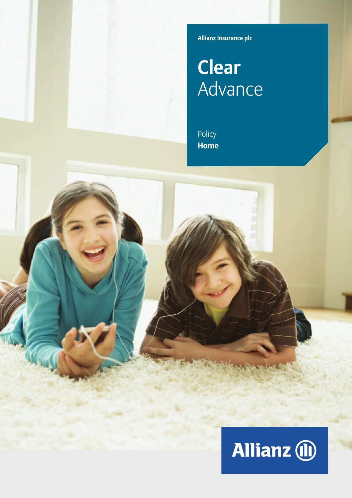**Allianz Insurance plc**

# **Clear** Advance

Policy **Home**

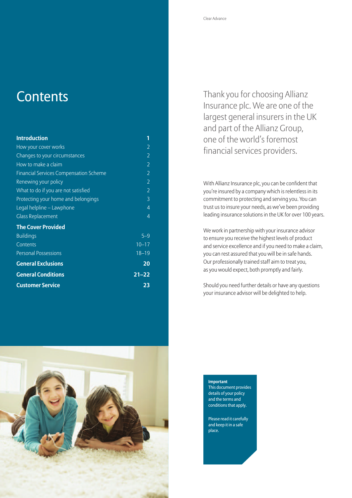# **Contents**

| <b>Introduction</b>                           | 1              |
|-----------------------------------------------|----------------|
| How your cover works                          | 2              |
| Changes to your circumstances                 | $\overline{2}$ |
| How to make a claim                           | $\overline{2}$ |
| <b>Financial Services Compensation Scheme</b> | $\overline{2}$ |
| Renewing your policy                          | $\overline{2}$ |
| What to do if you are not satisfied           | $\overline{2}$ |
| Protecting your home and belongings           | 3              |
| Legal helpline – Lawphone                     | 4              |
| <b>Glass Replacement</b>                      | $\overline{4}$ |
| <b>The Cover Provided</b>                     |                |
| <b>Buildings</b>                              | $5 - 9$        |
| Contents                                      | $10 - 17$      |
| <b>Personal Possessions</b>                   | $18 - 19$      |
| <b>General Exclusions</b>                     | 20             |
| <b>General Conditions</b>                     | $21 - 22$      |
| <b>Customer Service</b>                       | 23             |

Thank you for choosing Allianz Insurance plc. We are one of the largest general insurers in the UK and part of the Allianz Group, one of the world's foremost financial services providers.

With Allianz Insurance plc, you can be confident that you're insured by a company which is relentless in its commitment to protecting and serving you. You can trust us to insure your needs, as we've been providing leading insurance solutions in the UK for over 100 years.

We work in partnership with your insurance advisor to ensure you receive the highest levels of product and service excellence and if you need to make a claim, you can rest assured that you will be in safe hands. Our professionally trained staff aim to treat you, as you would expect, both promptly and fairly.

Should you need further details or have any questions your insurance advisor will be delighted to help.



**Important** This document provides details of your policy and the terms and conditions that apply.

Please read it carefully and keep it in a safe place.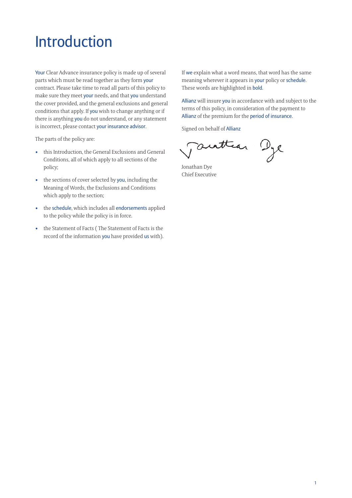# Introduction

Your Clear Advance insurance policy is made up of several parts which must be read together as they form your contract. Please take time to read all parts of this policy to make sure they meet your needs, and that you understand the cover provided, and the general exclusions and general conditions that apply. If you wish to change anything or if there is anything you do not understand, or any statement is incorrect, please contact your insurance advisor.

The parts of the policy are:

- this Introduction, the General Exclusions and General Conditions, all of which apply to all sections of the policy;
- the sections of cover selected by you, including the Meaning of Words, the Exclusions and Conditions which apply to the section;
- the schedule, which includes all endorsements applied to the policy while the policy is in force.
- the Statement of Facts ( The Statement of Facts is the record of the information you have provided us with).

If we explain what a word means, that word has the same meaning wherever it appears in your policy or schedule. These words are highlighted in bold.

Allianz will insure you in accordance with and subject to the terms of this policy, in consideration of the payment to Allianz of the premium for the period of insurance.

Signed on behalf of Allianz

esttiar Dye

Jonathan Dye Chief Executive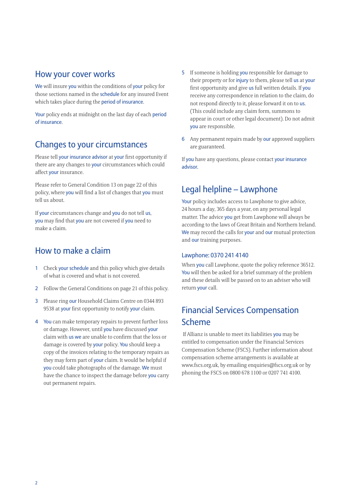## How your cover works

We will insure you within the conditions of your policy for those sections named in the schedule for any insured Event which takes place during the period of insurance.

Your policy ends at midnight on the last day of each period of insurance.

## Changes to your circumstances

Please tell your insurance advisor at your first opportunity if there are any changes to your circumstances which could affect your insurance.

Please refer to General Condition 13 on page 22 of this policy, where you will find a list of changes that you must tell us about.

If your circumstances change and you do not tell us, you may find that you are not covered if you need to make a claim.

## How to make a claim

- 1 Check your schedule and this policy which give details of what is covered and what is not covered.
- 2 Follow the General Conditions on page 21 of this policy.
- 3 Please ring our Household Claims Centre on 0344 893 9538 at your first opportunity to notify your claim.
- 4 You can make temporary repairs to prevent further loss or damage. However, until you have discussed your claim with us we are unable to confirm that the loss or damage is covered by your policy. You should keep a copy of the invoices relating to the temporary repairs as they may form part of your claim. It would be helpful if you could take photographs of the damage. We must have the chance to inspect the damage before you carry out permanent repairs.
- 5 If someone is holding you responsible for damage to their property or for *injury* to them, please tell us at your first opportunity and give us full written details. If you receive any correspondence in relation to the claim, do not respond directly to it, please forward it on to us. (This could include any claim form, summons to appear in court or other legal document). Do not admit you are responsible.
- 6 Any permanent repairs made by our approved suppliers are guaranteed.

If you have any questions, please contact your insurance advisor.

## Legal helpline – Lawphone

Your policy includes access to Lawphone to give advice, 24 hours a day, 365 days a year, on any personal legal matter. The advice you get from Lawphone will always be according to the laws of Great Britain and Northern Ireland. We may record the calls for your and our mutual protection and our training purposes.

#### Lawphone: 0370 241 4140

When you call Lawphone, quote the policy reference 36512. You will then be asked for a brief summary of the problem and these details will be passed on to an adviser who will return your call.

## Financial Services Compensation Scheme

If Allianz is unable to meet its liabilities you may be entitled to compensation under the Financial Services Compensation Scheme (FSCS). Further information about compensation scheme arrangements is available at www.fscs.org.uk, by emailing enquiries@fscs.org.uk or by phoning the FSCS on 0800 678 1100 or 0207 741 4100.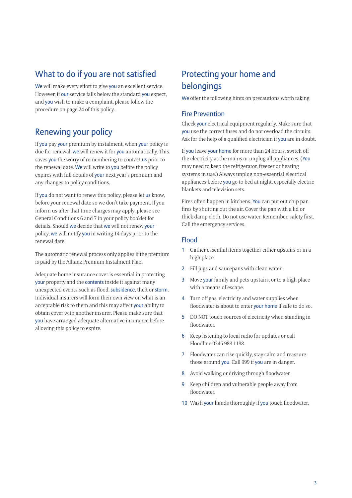## What to do if you are not satisfied

We will make every effort to give you an excellent service. However, if our service falls below the standard you expect, and you wish to make a complaint, please follow the procedure on page 24 of this policy.

## Renewing your policy

If you pay your premium by instalment, when your policy is due for renewal, we will renew it for you automatically. This saves you the worry of remembering to contact us prior to the renewal date. We will write to you before the policy expires with full details of your next year's premium and any changes to policy conditions.

If you do not want to renew this policy, please let us know, before your renewal date so we don't take payment. If you inform us after that time charges may apply, please see General Conditions 6 and 7 in your policy booklet for details. Should we decide that we will not renew your policy, we will notify you in writing 14 days prior to the renewal date.

The automatic renewal process only applies if the premium is paid by the Allianz Premium Instalment Plan.

Adequate home insurance cover is essential in protecting your property and the contents inside it against many unexpected events such as flood, subsidence, theft or storm. Individual insurers will form their own view on what is an acceptable risk to them and this may affect your ability to obtain cover with another insurer. Please make sure that you have arranged adequate alternative insurance before allowing this policy to expire.

# Protecting your home and belongings

We offer the following hints on precautions worth taking.

#### Fire Prevention

Check your electrical equipment regularly. Make sure that you use the correct fuses and do not overload the circuits. Ask for the help of a qualified electrician if you are in doubt.

If you leave your home for more than 24 hours, switch off the electricity at the mains or unplug all appliances. (You may need to keep the refrigerator, freezer or heating systems in use.) Always unplug non-essential electrical appliances before you go to bed at night, especially electric blankets and television sets.

Fires often happen in kitchens. You can put out chip pan fires by shutting out the air. Cover the pan with a lid or thick damp cloth. Do not use water. Remember, safety first. Call the emergency services.

#### Flood

- 1 Gather essential items together either upstairs or in a high place.
- 2 Fill jugs and saucepans with clean water.
- 3 Move your family and pets upstairs, or to a high place with a means of escape.
- 4 Turn off gas, electricity and water supplies when floodwater is about to enter your home if safe to do so.
- 5 DO NOT touch sources of electricity when standing in floodwater.
- 6 Keep listening to local radio for updates or call Floodline 0345 988 1188.
- 7 Floodwater can rise quickly, stay calm and reassure those around you. Call 999 if you are in danger.
- 8 Avoid walking or driving through floodwater.
- 9 Keep children and vulnerable people away from floodwater.
- 10 Wash your hands thoroughly if you touch floodwater.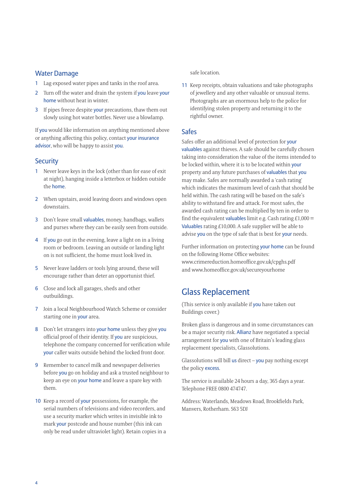#### Water Damage

- 1 Lag exposed water pipes and tanks in the roof area.
- 2 Turn off the water and drain the system if you leave your home without heat in winter.
- 3 If pipes freeze despite your precautions, thaw them out slowly using hot water bottles. Never use a blowlamp.

If you would like information on anything mentioned above or anything affecting this policy, contact your insurance advisor, who will be happy to assist you.

#### **Security**

- 1 Never leave keys in the lock (other than for ease of exit at night), hanging inside a letterbox or hidden outside the home.
- 2 When upstairs, avoid leaving doors and windows open downstairs.
- 3 Don't leave small valuables, money, handbags, wallets and purses where they can be easily seen from outside.
- 4 If you go out in the evening, leave a light on in a living room or bedroom. Leaving an outside or landing light on is not sufficient, the home must look lived in.
- 5 Never leave ladders or tools lying around, these will encourage rather than deter an opportunist thief.
- 6 Close and lock all garages, sheds and other outbuildings.
- 7 Join a local Neighbourhood Watch Scheme or consider starting one in your area.
- 8 Don't let strangers into your home unless they give you official proof of their identity. If you are suspicious, telephone the company concerned for verification while your caller waits outside behind the locked front door.
- 9 Remember to cancel milk and newspaper deliveries before you go on holiday and ask a trusted neighbour to keep an eye on your home and leave a spare key with them.
- 10 Keep a record of your possessions, for example, the serial numbers of televisions and video recorders, and use a security marker which writes in invisible ink to mark your postcode and house number (this ink can only be read under ultraviolet light). Retain copies in a

safe location.

11 Keep receipts, obtain valuations and take photographs of jewellery and any other valuable or unusual items. Photographs are an enormous help to the police for identifying stolen property and returning it to the rightful owner.

#### Safes

Safes offer an additional level of protection for your valuables against thieves. A safe should be carefully chosen taking into consideration the value of the items intended to be locked within, where it is to be located within your property and any future purchases of valuables that you may make. Safes are normally awarded a 'cash rating' which indicates the maximum level of cash that should be held within. The cash rating will be based on the safe's ability to withstand fire and attack. For most safes, the awarded cash rating can be multiplied by ten in order to find the equivalent valuables limit e.g. Cash rating  $£1,000 =$ Valuables rating £10,000. A safe supplier will be able to advise you on the type of safe that is best for your needs.

Further information on protecting your home can be found on the following Home Office websites: www.crimereduction.homeoffice.gov.uk/cpghs.pdf and www.homeoffice.gov.uk/secureyourhome

## Glass Replacement

(This service is only available if you have taken out Buildings cover.)

Broken glass is dangerous and in some circumstances can be a major security risk. Allianz have negotiated a special arrangement for you with one of Britain's leading glass replacement specialists, Glassolutions.

Glassolutions will bill  $us$  direct – you pay nothing except the policy excess.

The service is available 24 hours a day, 365 days a year. Telephone FREE 0800 474747.

Address: Waterlands, Meadows Road, Brookfields Park, Manvers, Rotherham. S63 5DJ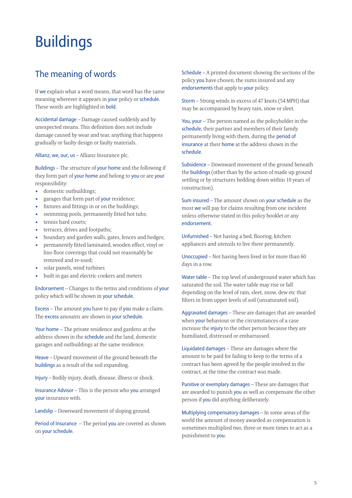# **Buildings**

## The meaning of words

If we explain what a word means, that word has the same meaning wherever it appears in your policy or schedule. These words are highlighted in bold.

Accidental damage – Damage caused suddenly and by unexpected means. This definition does not include damage caused by wear and tear, anything that happens gradually or faulty design or faulty materials.

Allianz, we, our, us – Allianz Insurance plc.

Buildings – The structure of your home and the following if they form part of your home and belong to you or are your responsibility:

- domestic outbuildings;
- garages that form part of your residence;
- fixtures and fittings in or on the buildings;
- swimming pools, permanently fitted hot tubs;
- tennis hard courts;
- terraces, drives and footpaths;
- boundary and garden walls, gates, fences and hedges;
- permanently fitted laminated, wooden effect, vinyl or lino floor coverings that could not reasonably be removed and re-used;
- solar panels, wind turbines
- built in gas and electric cookers and meters

Endorsement – Changes to the terms and conditions of your policy which will be shown in your schedule.

Excess – The amount you have to pay if you make a claim. The excess amounts are shown in your schedule.

Your home – The private residence and gardens at the address shown in the schedule and the land, domestic garages and outbuildings at the same residence.

Heave – Upward movement of the ground beneath the buildings as a result of the soil expanding.

Injury – Bodily injury, death, disease, illness or shock.

Insurance Advisor – This is the person who you arranged your insurance with.

Landslip – Downward movement of sloping ground.

Period of Insurance – The period you are covered as shown on your schedule.

Schedule – A printed document showing the sections of the policy you have chosen, the sums insured and any endorsements that apply to your policy.

Storm – Strong winds in excess of 47 knots (54 MPH) that may be accompanied by heavy rain, snow or sleet.

You, your – The person named as the policyholder in the schedule, their partner and members of their family permanently living with them, during the period of insurance at their home at the address shown in the schedule.

Subsidence – Downward movement of the ground beneath the buildings (other than by the action of made up ground settling or by structures bedding down within 10 years of construction).

Sum insured – The amount shown on your schedule as the most we will pay for claims resulting from one incident unless otherwise stated in this policy booklet or any endorsement.

Unfurnished – Not having a bed, flooring, kitchen appliances and utensils to live there permanently.

Unoccupied – Not having been lived in for more than 60 days in a row.

Water table – The top level of underground water which has saturated the soil. The water table may rise or fall depending on the level of rain, sleet, snow, dew etc that filters in from upper levels of soil (unsaturated soil).

Aggravated damages – These are damages that are awarded when your behaviour or the circumstances of a case increase the injury to the other person because they are humiliated, distressed or embarrassed.

Liquidated damages – These are damages where the amount to be paid for failing to keep to the terms of a contract has been agreed by the people involved in the contract, at the time the contract was made.

Punitive or exemplary damages – These are damages that are awarded to punish you as well as compensate the other person if you did anything deliberately.

Multiplying compensatory damages – In some areas of the world the amount of money awarded as compensation is sometimes multiplied two, three or more times to act as a punishment to you.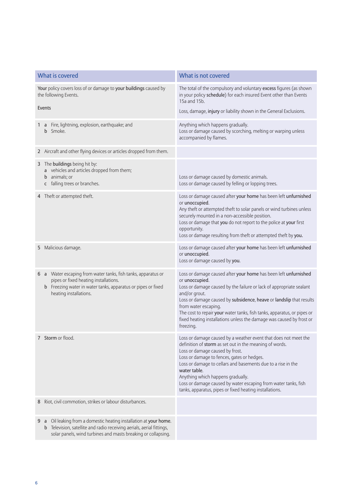| What is covered                                                                                                                                                                                                           | What is not covered                                                                                                                                                                                                                                                                                                                                                                                                                                           |
|---------------------------------------------------------------------------------------------------------------------------------------------------------------------------------------------------------------------------|---------------------------------------------------------------------------------------------------------------------------------------------------------------------------------------------------------------------------------------------------------------------------------------------------------------------------------------------------------------------------------------------------------------------------------------------------------------|
| Your policy covers loss of or damage to your buildings caused by<br>the following Events.                                                                                                                                 | The total of the compulsory and voluntary excess figures (as shown<br>in your policy schedule) for each insured Event other than Events<br>15a and 15b.                                                                                                                                                                                                                                                                                                       |
| Events                                                                                                                                                                                                                    | Loss, damage, injury or liability shown in the General Exclusions.                                                                                                                                                                                                                                                                                                                                                                                            |
| Fire, lightning, explosion, earthquake; and<br>1<br>a<br><b>b</b> Smoke.                                                                                                                                                  | Anything which happens gradually.<br>Loss or damage caused by scorching, melting or warping unless<br>accompanied by flames.                                                                                                                                                                                                                                                                                                                                  |
| 2 Aircraft and other flying devices or articles dropped from them.                                                                                                                                                        |                                                                                                                                                                                                                                                                                                                                                                                                                                                               |
| 3 The buildings being hit by:<br>a vehicles and articles dropped from them;<br><b>b</b> animals; or<br>c falling trees or branches.                                                                                       | Loss or damage caused by domestic animals.<br>Loss or damage caused by felling or lopping trees.                                                                                                                                                                                                                                                                                                                                                              |
| Theft or attempted theft.<br>4                                                                                                                                                                                            | Loss or damage caused after your home has been left unfurnished<br>or unoccupied.<br>Any theft or attempted theft to solar panels or wind turbines unless<br>securely mounted in a non-accessible position.<br>Loss or damage that you do not report to the police at your first<br>opportunity.<br>Loss or damage resulting from theft or attempted theft by you.                                                                                            |
| 5 Malicious damage.                                                                                                                                                                                                       | Loss or damage caused after your home has been left unfurnished<br>or unoccupied.<br>Loss or damage caused by you.                                                                                                                                                                                                                                                                                                                                            |
| a Water escaping from water tanks, fish tanks, apparatus or<br>6<br>pipes or fixed heating installations.<br><b>b</b> Freezing water in water tanks, apparatus or pipes or fixed<br>heating installations.                | Loss or damage caused after your home has been left unfurnished<br>or unoccupied.<br>Loss or damage caused by the failure or lack of appropriate sealant<br>and/or grout.<br>Loss or damage caused by subsidence, heave or landslip that results<br>from water escaping.<br>The cost to repair your water tanks, fish tanks, apparatus, or pipes or<br>fixed heating installations unless the damage was caused by frost or<br>freezing.                      |
| 7 Storm or flood.                                                                                                                                                                                                         | Loss or damage caused by a weather event that does not meet the<br>definition of storm as set out in the meaning of words.<br>Loss or damage caused by frost.<br>Loss or damage to fences, gates or hedges.<br>Loss or damage to cellars and basements due to a rise in the<br>water table.<br>Anything which happens gradually.<br>Loss or damage caused by water escaping from water tanks, fish<br>tanks, apparatus, pipes or fixed heating installations. |
| Riot, civil commotion, strikes or labour disturbances.<br>8                                                                                                                                                               |                                                                                                                                                                                                                                                                                                                                                                                                                                                               |
| Oil leaking from a domestic heating installation at your home.<br>9<br>a<br><b>b</b> Television, satellite and radio receiving aerials, aerial fittings,<br>solar panels, wind turbines and masts breaking or collapsing. |                                                                                                                                                                                                                                                                                                                                                                                                                                                               |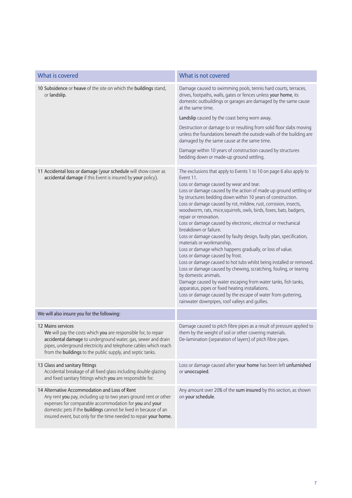| What is covered                                                                                                                                                                                                                                                                                                    | What is not covered                                                                                                                                                                                                                                                                                                                                                                                                                                                                                                                                                                                                                                                                                                                                                                                                                                                                                                                                                                                                                                                                                                                          |
|--------------------------------------------------------------------------------------------------------------------------------------------------------------------------------------------------------------------------------------------------------------------------------------------------------------------|----------------------------------------------------------------------------------------------------------------------------------------------------------------------------------------------------------------------------------------------------------------------------------------------------------------------------------------------------------------------------------------------------------------------------------------------------------------------------------------------------------------------------------------------------------------------------------------------------------------------------------------------------------------------------------------------------------------------------------------------------------------------------------------------------------------------------------------------------------------------------------------------------------------------------------------------------------------------------------------------------------------------------------------------------------------------------------------------------------------------------------------------|
| 10 Subsidence or heave of the site on which the buildings stand,<br>or landslip.                                                                                                                                                                                                                                   | Damage caused to swimming pools, tennis hard courts, terraces,<br>drives, footpaths, walls, gates or fences unless your home, its<br>domestic outbuildings or garages are damaged by the same cause<br>at the same time.<br>Landslip caused by the coast being worn away.<br>Destruction or damage to or resulting from solid floor slabs moving<br>unless the foundations beneath the outside walls of the building are                                                                                                                                                                                                                                                                                                                                                                                                                                                                                                                                                                                                                                                                                                                     |
|                                                                                                                                                                                                                                                                                                                    | damaged by the same cause at the same time.                                                                                                                                                                                                                                                                                                                                                                                                                                                                                                                                                                                                                                                                                                                                                                                                                                                                                                                                                                                                                                                                                                  |
|                                                                                                                                                                                                                                                                                                                    | Damage within 10 years of construction caused by structures<br>bedding down or made-up ground settling.                                                                                                                                                                                                                                                                                                                                                                                                                                                                                                                                                                                                                                                                                                                                                                                                                                                                                                                                                                                                                                      |
| 11 Accidental loss or damage (your schedule will show cover as<br>accidental damage if this Event is insured by your policy).                                                                                                                                                                                      | The exclusions that apply to Events 1 to 10 on page 6 also apply to<br>Event 11.<br>Loss or damage caused by wear and tear.<br>Loss or damage caused by the action of made up ground settling or<br>by structures bedding down within 10 years of construction.<br>Loss or damage caused by rot, mildew, rust, corrosion, insects,<br>woodworm, rats, mice, squirrels, owls, birds, foxes, bats, badgers,<br>repair or renovation.<br>Loss or damage caused by electronic, electrical or mechanical<br>breakdown or failure.<br>Loss or damage caused by faulty design, faulty plan, specification,<br>materials or workmanship.<br>Loss or damage which happens gradually, or loss of value.<br>Loss or damage caused by frost.<br>Loss or damage caused to hot tubs whilst being installed or removed.<br>Loss or damage caused by chewing, scratching, fouling, or tearing<br>by domestic animals.<br>Damage caused by water escaping from water tanks, fish tanks,<br>apparatus, pipes or fixed heating installations.<br>Loss or damage caused by the escape of water from guttering,<br>rainwater downpipes, roof valleys and gullies. |
| We will also insure you for the following:                                                                                                                                                                                                                                                                         |                                                                                                                                                                                                                                                                                                                                                                                                                                                                                                                                                                                                                                                                                                                                                                                                                                                                                                                                                                                                                                                                                                                                              |
| 12 Mains services<br>We will pay the costs which you are responsible for, to repair<br>accidental damage to underground water, gas, sewer and drain<br>pipes, underground electricity and telephone cables which reach<br>from the buildings to the public supply, and septic tanks.                               | Damage caused to pitch fibre pipes as a result of pressure applied to<br>them by the weight of soil or other covering materials.<br>De-lamination (separation of layers) of pitch fibre pipes.                                                                                                                                                                                                                                                                                                                                                                                                                                                                                                                                                                                                                                                                                                                                                                                                                                                                                                                                               |
| 13 Glass and sanitary fittings<br>Accidental breakage of all fixed glass including double glazing<br>and fixed sanitary fittings which you are responsible for.                                                                                                                                                    | Loss or damage caused after your home has been left unfurnished<br>or unoccupied.                                                                                                                                                                                                                                                                                                                                                                                                                                                                                                                                                                                                                                                                                                                                                                                                                                                                                                                                                                                                                                                            |
| 14 Alternative Accommodation and Loss of Rent<br>Any rent you pay, including up to two years ground rent or other<br>expenses for comparable accommodation for you and your<br>domestic pets if the buildings cannot be lived in because of an<br>insured event, but only for the time needed to repair your home. | Any amount over 20% of the sum insured by this section, as shown<br>on your schedule.                                                                                                                                                                                                                                                                                                                                                                                                                                                                                                                                                                                                                                                                                                                                                                                                                                                                                                                                                                                                                                                        |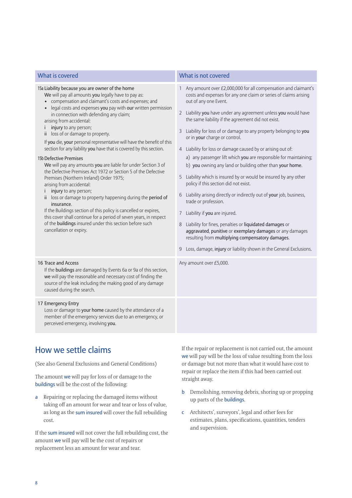| <b>What is covered</b>                                                                                                                                                                                                                                                                                                                                                                                                                                                                                                                                                                                                                                                                                                                                                                                                                                                                                                                                                                                                                                                                                         | What is not covered                                                                                                                                                                                                                                                                                                                                                                                                                                                                                                                                                                                                                                                                                                                                                                                                                                                                                                                                                                                                                                                                                                  |
|----------------------------------------------------------------------------------------------------------------------------------------------------------------------------------------------------------------------------------------------------------------------------------------------------------------------------------------------------------------------------------------------------------------------------------------------------------------------------------------------------------------------------------------------------------------------------------------------------------------------------------------------------------------------------------------------------------------------------------------------------------------------------------------------------------------------------------------------------------------------------------------------------------------------------------------------------------------------------------------------------------------------------------------------------------------------------------------------------------------|----------------------------------------------------------------------------------------------------------------------------------------------------------------------------------------------------------------------------------------------------------------------------------------------------------------------------------------------------------------------------------------------------------------------------------------------------------------------------------------------------------------------------------------------------------------------------------------------------------------------------------------------------------------------------------------------------------------------------------------------------------------------------------------------------------------------------------------------------------------------------------------------------------------------------------------------------------------------------------------------------------------------------------------------------------------------------------------------------------------------|
| 15a Liability because you are owner of the home<br>We will pay all amounts you legally have to pay as:<br>• compensation and claimant's costs and expenses; and<br>legal costs and expenses you pay with our written permission<br>in connection with defending any claim;<br>arising from accidental:<br>injury to any person;<br>İ.<br>ii loss of or damage to property.<br>If you die, your personal representative will have the benefit of this<br>section for any liability you have that is covered by this section.<br>15b Defective Premises<br>We will pay any amounts you are liable for under Section 3 of<br>the Defective Premises Act 1972 or Section 5 of the Defective<br>Premises (Northern Ireland) Order 1975;<br>arising from accidental:<br>injury to any person;<br>i.<br>loss or damage to property happening during the period of<br>ii.<br>insurance.<br>If the Buildings section of this policy is cancelled or expires,<br>this cover shall continue for a period of seven years, in respect<br>of the buildings insured under this section before such<br>cancellation or expiry. | 1 Any amount over £2,000,000 for all compensation and claimant's<br>costs and expenses for any one claim or series of claims arising<br>out of any one Event.<br>2 Liability you have under any agreement unless you would have<br>the same liability if the agreement did not exist.<br>3 Liability for loss of or damage to any property belonging to you<br>or in your charge or control.<br>4 Liability for loss or damage caused by or arising out of:<br>a) any passenger lift which you are responsible for maintaining;<br>b) you owning any land or building other than your home.<br>5 Liability which is insured by or would be insured by any other<br>policy if this section did not exist.<br>6 Liability arising directly or indirectly out of your job, business,<br>trade or profession.<br>Liability if you are injured.<br>$\overline{7}$<br>Liability for fines, penalties or liquidated damages or<br>8<br>aggravated, punitive or exemplary damages or any damages<br>resulting from multiplying compensatory damages.<br>9 Loss, damage, injury or liability shown in the General Exclusions. |
| 16 Trace and Access<br>If the buildings are damaged by Events 6a or 9a of this section,<br>we will pay the reasonable and necessary cost of finding the<br>source of the leak including the making good of any damage<br>caused during the search.                                                                                                                                                                                                                                                                                                                                                                                                                                                                                                                                                                                                                                                                                                                                                                                                                                                             | Any amount over £5,000.                                                                                                                                                                                                                                                                                                                                                                                                                                                                                                                                                                                                                                                                                                                                                                                                                                                                                                                                                                                                                                                                                              |
| 17 Emergency Entry<br>Loss or damage to your home caused by the attendance of a                                                                                                                                                                                                                                                                                                                                                                                                                                                                                                                                                                                                                                                                                                                                                                                                                                                                                                                                                                                                                                |                                                                                                                                                                                                                                                                                                                                                                                                                                                                                                                                                                                                                                                                                                                                                                                                                                                                                                                                                                                                                                                                                                                      |
| member of the emergency services due to an emergency, or<br>perceived emergency, involving you.                                                                                                                                                                                                                                                                                                                                                                                                                                                                                                                                                                                                                                                                                                                                                                                                                                                                                                                                                                                                                |                                                                                                                                                                                                                                                                                                                                                                                                                                                                                                                                                                                                                                                                                                                                                                                                                                                                                                                                                                                                                                                                                                                      |
|                                                                                                                                                                                                                                                                                                                                                                                                                                                                                                                                                                                                                                                                                                                                                                                                                                                                                                                                                                                                                                                                                                                |                                                                                                                                                                                                                                                                                                                                                                                                                                                                                                                                                                                                                                                                                                                                                                                                                                                                                                                                                                                                                                                                                                                      |

## How we settle claims

(See also General Exclusions and General Conditions)

The amount we will pay for loss of or damage to the buildings will be the cost of the following:

a Repairing or replacing the damaged items without taking off an amount for wear and tear or loss of value, as long as the sum insured will cover the full rebuilding cost.

If the sum insured will not cover the full rebuilding cost, the amount we will pay will be the cost of repairs or replacement less an amount for wear and tear.

If the repair or replacement is not carried out, the amount we will pay will be the loss of value resulting from the loss or damage but not more than what it would have cost to repair or replace the item if this had been carried out straight away.

- b Demolishing, removing debris, shoring up or propping up parts of the buildings.
- c Architects', surveyors', legal and other fees for estimates, plans, specifications, quantities, tenders and supervision.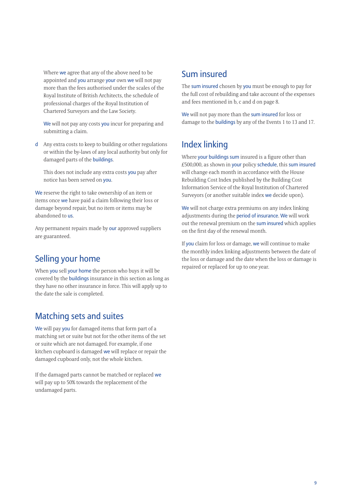Where we agree that any of the above need to be appointed and you arrange your own we will not pay more than the fees authorised under the scales of the Royal Institute of British Architects, the schedule of professional charges of the Royal Institution of Chartered Surveyors and the Law Society.

We will not pay any costs you incur for preparing and submitting a claim.

d Any extra costs to keep to building or other regulations or within the by-laws of any local authority but only for damaged parts of the buildings.

This does not include any extra costs you pay after notice has been served on you.

We reserve the right to take ownership of an item or items once we have paid a claim following their loss or damage beyond repair, but no item or items may be abandoned to us.

Any permanent repairs made by our approved suppliers are guaranteed.

## Selling your home

When you sell your home the person who buys it will be covered by the buildings insurance in this section as long as they have no other insurance in force. This will apply up to the date the sale is completed.

## Matching sets and suites

We will pay you for damaged items that form part of a matching set or suite but not for the other items of the set or suite which are not damaged. For example, if one kitchen cupboard is damaged we will replace or repair the damaged cupboard only, not the whole kitchen.

If the damaged parts cannot be matched or replaced we will pay up to 50% towards the replacement of the undamaged parts.

## Sum insured

The sum insured chosen by you must be enough to pay for the full cost of rebuilding and take account of the expenses and fees mentioned in b, c and d on page 8.

We will not pay more than the sum insured for loss or damage to the buildings by any of the Events 1 to 13 and 17.

# Index linking

Where your buildings sum insured is a figure other than £500,000, as shown in your policy schedule, this sum insured will change each month in accordance with the House Rebuilding Cost Index published by the Building Cost Information Service of the Royal Institution of Chartered Surveyors (or another suitable index we decide upon).

We will not charge extra premiums on any index linking adjustments during the period of insurance. We will work out the renewal premium on the sum insured which applies on the first day of the renewal month.

If you claim for loss or damage, we will continue to make the monthly index linking adjustments between the date of the loss or damage and the date when the loss or damage is repaired or replaced for up to one year.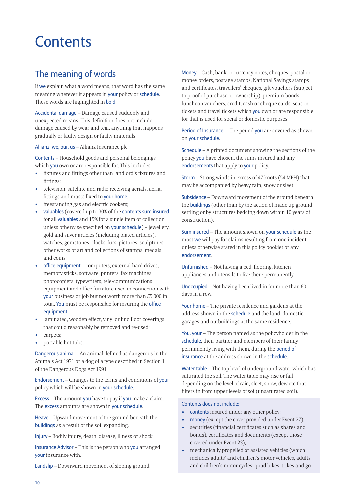# **Contents**

## The meaning of words

If we explain what a word means, that word has the same meaning wherever it appears in your policy or schedule. These words are highlighted in bold.

Accidental damage – Damage caused suddenly and unexpected means. This definition does not include damage caused by wear and tear, anything that happens gradually or faulty design or faulty materials.

Allianz, we, our, us – Allianz Insurance plc.

Contents – Household goods and personal belongings which you own or are responsible for. This includes:

- fixtures and fittings other than landlord's fixtures and fittings;
- television, satellite and radio receiving aerials, aerial fittings and masts fixed to your home;
- freestanding gas and electric cookers;
- valuables (covered up to 30% of the contents sum insured for all valuables and 15% for a single item or collection unless otherwise specified on your schedule) – jewellery, gold and silver articles (including plated articles), watches, gemstones, clocks, furs, pictures, sculptures, other works of art and collections of stamps, medals and coins;
- office equipment computers, external hard drives, memory sticks, software, printers, fax machines, photocopiers, typewriters, tele-communications equipment and office furniture used in connection with your business or job but not worth more than £5,000 in total. You must be responsible for insuring the office equipment;
- laminated, wooden effect, vinyl or lino floor coverings that could reasonably be removed and re-used;
- carpets;
- portable hot tubs.

Dangerous animal – An animal defined as dangerous in the Animals Act 1971 or a dog of a type described in Section 1 of the Dangerous Dogs Act 1991.

Endorsement – Changes to the terms and conditions of your policy which will be shown in your schedule.

Excess – The amount you have to pay if you make a claim. The excess amounts are shown in your schedule.

Heave – Upward movement of the ground beneath the buildings as a result of the soil expanding.

Injury – Bodily injury, death, disease, illness or shock.

Insurance Advisor – This is the person who you arranged your insurance with.

Landslip – Downward movement of sloping ground.

Money – Cash, bank or currency notes, cheques, postal or money orders, postage stamps, National Savings stamps and certificates, travellers' cheques, gift vouchers (subject to proof of purchase or ownership), premium bonds, luncheon vouchers, credit, cash or cheque cards, season tickets and travel tickets which you own or are responsible for that is used for social or domestic purposes.

Period of Insurance – The period you are covered as shown on your schedule.

Schedule – A printed document showing the sections of the policy you have chosen, the sums insured and any endorsements that apply to your policy.

Storm – Strong winds in excess of 47 knots (54 MPH) that may be accompanied by heavy rain, snow or sleet.

Subsidence – Downward movement of the ground beneath the buildings (other than by the action of made up ground settling or by structures bedding down within 10 years of construction).

Sum insured – The amount shown on your schedule as the most we will pay for claims resulting from one incident unless otherwise stated in this policy booklet or any endorsement.

Unfurnished – Not having a bed, flooring, kitchen appliances and utensils to live there permanently.

Unoccupied – Not having been lived in for more than 60 days in a row.

Your home – The private residence and gardens at the address shown in the schedule and the land, domestic garages and outbuildings at the same residence.

You, your – The person named as the policyholder in the schedule, their partner and members of their family permanently living with them, during the period of insurance at the address shown in the schedule.

Water table – The top level of underground water which has saturated the soil. The water table may rise or fall depending on the level of rain, sleet, snow, dew etc that filters in from upper levels of soil(unsaturated soil).

#### Contents does not include:

- contents insured under any other policy;
- money (except the cover provided under Event 27);
- securities (financial certificates such as shares and bonds), certificates and documents (except those covered under Event 23);
- mechanically propelled or assisted vehicles (which includes adults' and children's motor vehicles, adults' and children's motor cycles, quad bikes, trikes and go-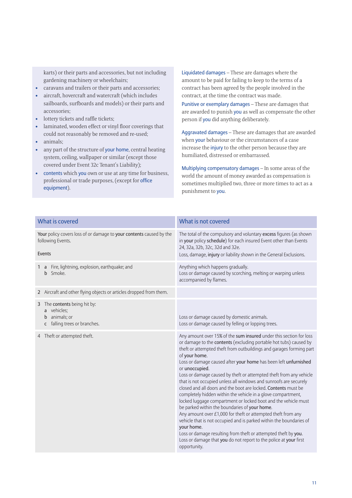karts) or their parts and accessories, but not including gardening machinery or wheelchairs;

- caravans and trailers or their parts and accessories;
- aircraft, hovercraft and watercraft (which includes sailboards, surfboards and models) or their parts and accessories;
- lottery tickets and raffle tickets;
- laminated, wooden effect or vinyl floor coverings that could not reasonably be removed and re-used;
- animals:
- any part of the structure of your home, central heating system, ceiling, wallpaper or similar (except those covered under Event 32c Tenant's Liability);
- contents which you own or use at any time for business, professional or trade purposes, (except for office equipment).

Liquidated damages – These are damages where the amount to be paid for failing to keep to the terms of a contract has been agreed by the people involved in the contract, at the time the contract was made.

Punitive or exemplary damages – These are damages that are awarded to punish you as well as compensate the other person if you did anything deliberately.

Aggravated damages – These are damages that are awarded when your behaviour or the circumstances of a case increase the injury to the other person because they are humiliated, distressed or embarrassed.

Multiplying compensatory damages – In some areas of the world the amount of money awarded as compensation is sometimes multiplied two, three or more times to act as a punishment to you.

| What is covered                                                                                    | What is not covered                                                                                                                                                                                                                                                                                                                                                                                                                                                                                                                                                                                                                                                                                                                                                                                                                                                                                                                                                                                                              |
|----------------------------------------------------------------------------------------------------|----------------------------------------------------------------------------------------------------------------------------------------------------------------------------------------------------------------------------------------------------------------------------------------------------------------------------------------------------------------------------------------------------------------------------------------------------------------------------------------------------------------------------------------------------------------------------------------------------------------------------------------------------------------------------------------------------------------------------------------------------------------------------------------------------------------------------------------------------------------------------------------------------------------------------------------------------------------------------------------------------------------------------------|
| Your policy covers loss of or damage to your contents caused by the<br>following Events.<br>Events | The total of the compulsory and voluntary excess figures (as shown<br>in your policy schedule) for each insured Event other than Events<br>24, 32a, 32b, 32c, 32d and 32e.<br>Loss, damage, injury or liability shown in the General Exclusions.                                                                                                                                                                                                                                                                                                                                                                                                                                                                                                                                                                                                                                                                                                                                                                                 |
| Fire, lightning, explosion, earthquake; and<br>1<br>a<br><b>b</b> Smoke.                           | Anything which happens gradually.<br>Loss or damage caused by scorching, melting or warping unless<br>accompanied by flames.                                                                                                                                                                                                                                                                                                                                                                                                                                                                                                                                                                                                                                                                                                                                                                                                                                                                                                     |
| 2 Aircraft and other flying objects or articles dropped from them.                                 |                                                                                                                                                                                                                                                                                                                                                                                                                                                                                                                                                                                                                                                                                                                                                                                                                                                                                                                                                                                                                                  |
| 3 The contents being hit by:<br>a vehicles;<br>animals; or<br>b<br>c falling trees or branches.    | Loss or damage caused by domestic animals.<br>Loss or damage caused by felling or lopping trees.                                                                                                                                                                                                                                                                                                                                                                                                                                                                                                                                                                                                                                                                                                                                                                                                                                                                                                                                 |
| 4 Theft or attempted theft.                                                                        | Any amount over 15% of the sum insured under this section for loss<br>or damage to the contents (excluding portable hot tubs) caused by<br>theft or attempted theft from outbuildings and garages forming part<br>of your home.<br>Loss or damage caused after your home has been left unfurnished<br>or unoccupied.<br>Loss or damage caused by theft or attempted theft from any vehicle<br>that is not occupied unless all windows and sunroofs are securely<br>closed and all doors and the boot are locked. Contents must be<br>completely hidden within the vehicle in a glove compartment,<br>locked luggage compartment or locked boot and the vehicle must<br>be parked within the boundaries of your home.<br>Any amount over £1,000 for theft or attempted theft from any<br>vehicle that is not occupied and is parked within the boundaries of<br>your home.<br>Loss or damage resulting from theft or attempted theft by you.<br>Loss or damage that you do not report to the police at your first<br>opportunity. |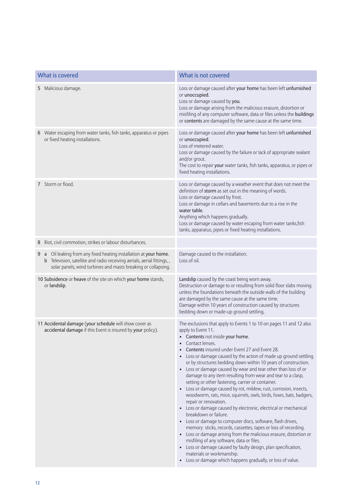| What is covered                                                                                                                                                                                                 | What is not covered                                                                                                                                                                                                                                                                                                                                                                                                                                                                                                                                                                                                                                                                                                                                                                                                                                                                                                                                                                                                                                                                                                                                                                                                      |
|-----------------------------------------------------------------------------------------------------------------------------------------------------------------------------------------------------------------|--------------------------------------------------------------------------------------------------------------------------------------------------------------------------------------------------------------------------------------------------------------------------------------------------------------------------------------------------------------------------------------------------------------------------------------------------------------------------------------------------------------------------------------------------------------------------------------------------------------------------------------------------------------------------------------------------------------------------------------------------------------------------------------------------------------------------------------------------------------------------------------------------------------------------------------------------------------------------------------------------------------------------------------------------------------------------------------------------------------------------------------------------------------------------------------------------------------------------|
| Malicious damage.<br>5                                                                                                                                                                                          | Loss or damage caused after your home has been left unfurnished<br>or unoccupied.<br>Loss or damage caused by you.<br>Loss or damage arising from the malicious erasure, distortion or<br>misfiling of any computer software, data or files unless the buildings<br>or contents are damaged by the same cause at the same time.                                                                                                                                                                                                                                                                                                                                                                                                                                                                                                                                                                                                                                                                                                                                                                                                                                                                                          |
| 6 Water escaping from water tanks, fish tanks, apparatus or pipes<br>or fixed heating installations.                                                                                                            | Loss or damage caused after your home has been left unfurnished<br>or unoccupied.<br>Loss of metered water.<br>Loss or damage caused by the failure or lack of appropriate sealant<br>and/or grout.<br>The cost to repair your water tanks, fish tanks, apparatus, or pipes or<br>fixed heating installations.                                                                                                                                                                                                                                                                                                                                                                                                                                                                                                                                                                                                                                                                                                                                                                                                                                                                                                           |
| 7 Storm or flood.                                                                                                                                                                                               | Loss or damage caused by a weather event that does not meet the<br>definition of storm as set out in the meaning of words.<br>Loss or damage caused by frost.<br>Loss or damage in cellars and basements due to a rise in the<br>water table.<br>Anything which happens gradually.<br>Loss or damage caused by water escaping from water tanks, fish<br>tanks, apparatus, pipes or fixed heating installations.                                                                                                                                                                                                                                                                                                                                                                                                                                                                                                                                                                                                                                                                                                                                                                                                          |
| Riot, civil commotion, strikes or labour disturbances.<br>8                                                                                                                                                     |                                                                                                                                                                                                                                                                                                                                                                                                                                                                                                                                                                                                                                                                                                                                                                                                                                                                                                                                                                                                                                                                                                                                                                                                                          |
| a Oil leaking from any fixed heating installation at your home.<br>9<br>b Television, satellite and radio receiving aerials, aerial fittings,,<br>solar panels, wind turbines and masts breaking or collapsing. | Damage caused to the installation.<br>Loss of oil.                                                                                                                                                                                                                                                                                                                                                                                                                                                                                                                                                                                                                                                                                                                                                                                                                                                                                                                                                                                                                                                                                                                                                                       |
| 10 Subsidence or heave of the site on which your home stands,<br>or landslip.                                                                                                                                   | Landslip caused by the coast being worn away.<br>Destruction or damage to or resulting from solid floor slabs moving<br>unless the foundations beneath the outside walls of the building<br>are damaged by the same cause at the same time.<br>Damage within 10 years of construction caused by structures<br>bedding down or made-up ground settling.                                                                                                                                                                                                                                                                                                                                                                                                                                                                                                                                                                                                                                                                                                                                                                                                                                                                   |
| 11 Accidental damage (your schedule will show cover as<br>accidental damage if this Event is insured by your policy).                                                                                           | The exclusions that apply to Events 1 to 10 on pages 11 and 12 also<br>apply to Event 11.<br>Contents not inside your home.<br>Contact lenses.<br>Contents insured under Event 27 and Event 28.<br>Loss or damage caused by the action of made up ground settling<br>$\bullet$<br>or by structures bedding down within 10 years of construction.<br>• Loss or damage caused by wear and tear other than loss of or<br>damage to any item resulting from wear and tear to a clasp,<br>setting or other fastening, carrier or container.<br>• Loss or damage caused by rot, mildew, rust, corrosion, insects,<br>woodworm, rats, mice, squirrels, owls, birds, foxes, bats, badgers,<br>repair or renovation.<br>• Loss or damage caused by electronic, electrical or mechanical<br>breakdown or failure.<br>• Loss or damage to computer discs, software, flash drives,<br>memory sticks, records, cassettes, tapes or loss of recording.<br>• Loss or damage arising from the malicious erasure, distortion or<br>misfiling of any software, data or files.<br>• Loss or damage caused by faulty design, plan specification,<br>materials or workmanship.<br>• Loss or damage which happens gradually, or loss of value. |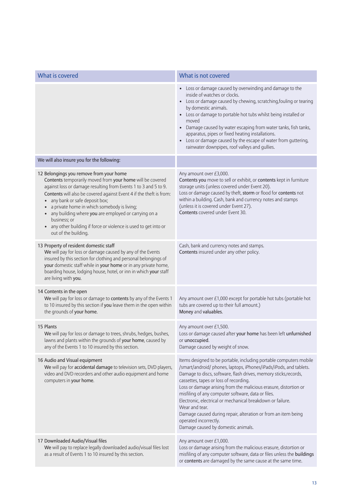| What is covered                                                                                                                                                                                                                                                                                                                                                                                                                                                                                                 | What is not covered                                                                                                                                                                                                                                                                                                                                                                                                                                                                                                                                                                              |
|-----------------------------------------------------------------------------------------------------------------------------------------------------------------------------------------------------------------------------------------------------------------------------------------------------------------------------------------------------------------------------------------------------------------------------------------------------------------------------------------------------------------|--------------------------------------------------------------------------------------------------------------------------------------------------------------------------------------------------------------------------------------------------------------------------------------------------------------------------------------------------------------------------------------------------------------------------------------------------------------------------------------------------------------------------------------------------------------------------------------------------|
|                                                                                                                                                                                                                                                                                                                                                                                                                                                                                                                 | • Loss or damage caused by overwinding and damage to the<br>inside of watches or clocks.<br>• Loss or damage caused by chewing, scratching, fouling or tearing<br>by domestic animals.<br>• Loss or damage to portable hot tubs whilst being installed or<br>moved<br>• Damage caused by water escaping from water tanks, fish tanks,<br>apparatus, pipes or fixed heating installations.<br>• Loss or damage caused by the escape of water from guttering,<br>rainwater downpipes, roof valleys and gullies.                                                                                    |
| We will also insure you for the following:                                                                                                                                                                                                                                                                                                                                                                                                                                                                      |                                                                                                                                                                                                                                                                                                                                                                                                                                                                                                                                                                                                  |
| 12 Belongings you remove from your home<br>Contents temporarily moved from your home will be covered<br>against loss or damage resulting from Events 1 to 3 and 5 to 9.<br>Contents will also be covered against Event 4 if the theft is from:<br>any bank or safe deposit box;<br>a private home in which somebody is living;<br>any building where you are employed or carrying on a<br>$\bullet$<br>business; or<br>• any other building if force or violence is used to get into or<br>out of the building. | Any amount over £3,000.<br>Contents you move to sell or exhibit, or contents kept in furniture<br>storage units (unless covered under Event 20).<br>Loss or damage caused by theft, storm or flood for contents not<br>within a building. Cash, bank and currency notes and stamps<br>(unless it is covered under Event 27).<br>Contents covered under Event 30.                                                                                                                                                                                                                                 |
| 13 Property of resident domestic staff<br>We will pay for loss or damage caused by any of the Events<br>insured by this section for clothing and personal belongings of<br>your domestic staff while in your home or in any private home,<br>boarding house, lodging house, hotel, or inn in which your staff<br>are living with you.                                                                                                                                                                           | Cash, bank and currency notes and stamps.<br>Contents insured under any other policy.                                                                                                                                                                                                                                                                                                                                                                                                                                                                                                            |
| 14 Contents in the open<br>We will pay for loss or damage to contents by any of the Events 1<br>to 10 insured by this section if you leave them in the open within<br>the grounds of your home.                                                                                                                                                                                                                                                                                                                 | Any amount over £1,000 except for portable hot tubs (portable hot<br>tubs are covered up to their full amount.)<br>Money and valuables.                                                                                                                                                                                                                                                                                                                                                                                                                                                          |
| 15 Plants<br>We will pay for loss or damage to trees, shrubs, hedges, bushes,<br>lawns and plants within the grounds of your home, caused by<br>any of the Events 1 to 10 insured by this section.                                                                                                                                                                                                                                                                                                              | Any amount over £1,500.<br>Loss or damage caused after your home has been left unfurnished<br>or unoccupied.<br>Damage caused by weight of snow.                                                                                                                                                                                                                                                                                                                                                                                                                                                 |
| 16 Audio and Visual equipment<br>We will pay for accidental damage to television sets, DVD players,<br>video and DVD recorders and other audio equipment and home<br>computers in your home.                                                                                                                                                                                                                                                                                                                    | Items designed to be portable, including portable computers mobile<br>/smart/android/ phones, laptops, iPhones/iPads/iPods, and tablets.<br>Damage to discs, software, flash drives, memory sticks, records,<br>cassettes, tapes or loss of recording.<br>Loss or damage arising from the malicious erasure, distortion or<br>misfiling of any computer software, data or files.<br>Electronic, electrical or mechanical breakdown or failure.<br>Wear and tear.<br>Damage caused during repair, alteration or from an item being<br>operated incorrectly.<br>Damage caused by domestic animals. |
| 17 Downloaded Audio/Visual files<br>We will pay to replace legally downloaded audio/visual files lost<br>as a result of Events 1 to 10 insured by this section.                                                                                                                                                                                                                                                                                                                                                 | Any amount over £1,000.<br>Loss or damage arising from the malicious erasure, distortion or<br>misfiling of any computer software, data or files unless the buildings<br>or contents are damaged by the same cause at the same time.                                                                                                                                                                                                                                                                                                                                                             |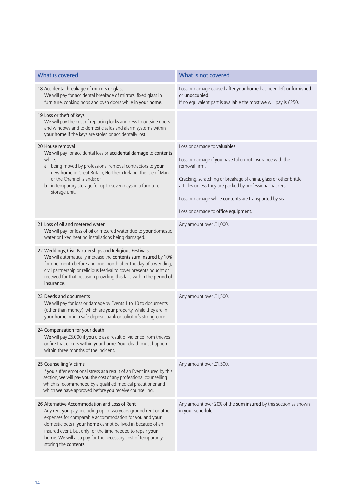| What is covered                                                                                                                                                                                                                                                                                                                                                                                   | What is not covered                                                                                                                                                                                                                                                                                                                       |
|---------------------------------------------------------------------------------------------------------------------------------------------------------------------------------------------------------------------------------------------------------------------------------------------------------------------------------------------------------------------------------------------------|-------------------------------------------------------------------------------------------------------------------------------------------------------------------------------------------------------------------------------------------------------------------------------------------------------------------------------------------|
| 18 Accidental breakage of mirrors or glass<br>We will pay for accidental breakage of mirrors, fixed glass in<br>furniture, cooking hobs and oven doors while in your home.                                                                                                                                                                                                                        | Loss or damage caused after your home has been left unfurnished<br>or unoccupied.<br>If no equivalent part is available the most we will pay is $£250$ .                                                                                                                                                                                  |
| 19 Loss or theft of keys<br>We will pay the cost of replacing locks and keys to outside doors<br>and windows and to domestic safes and alarm systems within<br>your home if the keys are stolen or accidentally lost.                                                                                                                                                                             |                                                                                                                                                                                                                                                                                                                                           |
| 20 House removal<br>We will pay for accidental loss or accidental damage to contents<br>while:<br>being moved by professional removal contractors to your<br>a<br>new home in Great Britain, Northern Ireland, the Isle of Man<br>or the Channel Islands; or<br><b>b</b> in temporary storage for up to seven days in a furniture<br>storage unit.                                                | Loss or damage to valuables.<br>Loss or damage if you have taken out insurance with the<br>removal firm.<br>Cracking, scratching or breakage of china, glass or other brittle<br>articles unless they are packed by professional packers.<br>Loss or damage while contents are transported by sea.<br>Loss or damage to office equipment. |
| 21 Loss of oil and metered water<br>We will pay for loss of oil or metered water due to your domestic<br>water or fixed heating installations being damaged.                                                                                                                                                                                                                                      | Any amount over £1,000.                                                                                                                                                                                                                                                                                                                   |
| 22 Weddings, Civil Partnerships and Religious Festivals<br>We will automatically increase the contents sum insured by 10%<br>for one month before and one month after the day of a wedding,<br>civil partnership or religious festival to cover presents bought or<br>received for that occasion providing this falls within the period of<br>insurance.                                          |                                                                                                                                                                                                                                                                                                                                           |
| 23 Deeds and documents<br>We will pay for loss or damage by Events 1 to 10 to documents<br>(other than money), which are your property, while they are in<br>your home or in a safe deposit, bank or solicitor's strongroom.                                                                                                                                                                      | Any amount over £1,500.                                                                                                                                                                                                                                                                                                                   |
| 24 Compensation for your death<br>We will pay £5,000 if you die as a result of violence from thieves<br>or fire that occurs within your home. Your death must happen<br>within three months of the incident.                                                                                                                                                                                      |                                                                                                                                                                                                                                                                                                                                           |
| 25 Counselling Victims<br>If you suffer emotional stress as a result of an Event insured by this<br>section, we will pay you the cost of any professional counselling<br>which is recommended by a qualified medical practitioner and<br>which we have approved before you receive counselling.                                                                                                   | Any amount over £1,500.                                                                                                                                                                                                                                                                                                                   |
| 26 Alternative Accommodation and Loss of Rent<br>Any rent you pay, including up to two years ground rent or other<br>expenses for comparable accommodation for you and your<br>domestic pets if your home cannot be lived in because of an<br>insured event, but only for the time needed to repair your<br>home. We will also pay for the necessary cost of temporarily<br>storing the contents. | Any amount over 20% of the sum insured by this section as shown<br>in your schedule.                                                                                                                                                                                                                                                      |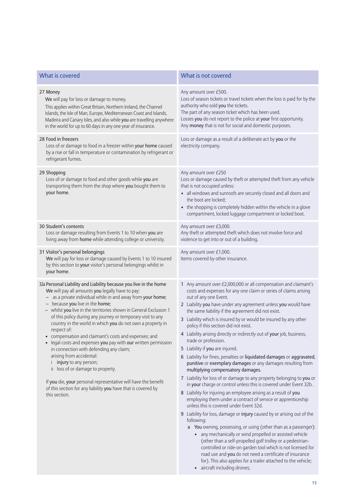| What is covered                                                                                                                                                                                                                                                                                                                                                                                                                                                                                                                                                                                                                                                                                                                                                                                                                                                       | What is not covered                                                                                                                                                                                                                                                                                                                                                                                                                                                                                                                                                                                                                                                                                                                                                                                                                                                                                                                                                                                                                                                                                                                                                                                                                                                                                                                                                                                                                                                                                                             |
|-----------------------------------------------------------------------------------------------------------------------------------------------------------------------------------------------------------------------------------------------------------------------------------------------------------------------------------------------------------------------------------------------------------------------------------------------------------------------------------------------------------------------------------------------------------------------------------------------------------------------------------------------------------------------------------------------------------------------------------------------------------------------------------------------------------------------------------------------------------------------|---------------------------------------------------------------------------------------------------------------------------------------------------------------------------------------------------------------------------------------------------------------------------------------------------------------------------------------------------------------------------------------------------------------------------------------------------------------------------------------------------------------------------------------------------------------------------------------------------------------------------------------------------------------------------------------------------------------------------------------------------------------------------------------------------------------------------------------------------------------------------------------------------------------------------------------------------------------------------------------------------------------------------------------------------------------------------------------------------------------------------------------------------------------------------------------------------------------------------------------------------------------------------------------------------------------------------------------------------------------------------------------------------------------------------------------------------------------------------------------------------------------------------------|
| 27 Money<br>We will pay for loss or damage to money.<br>This applies within Great Britain, Northern Ireland, the Channel<br>Islands, the Isle of Man, Europe, Mediterranean Coast and Islands,<br>Madeira and Canary Isles, and also while you are travelling anywhere<br>in the world for up to 60 days in any one year of insurance.                                                                                                                                                                                                                                                                                                                                                                                                                                                                                                                                | Any amount over £500.<br>Loss of season tickets or travel tickets when the loss is paid for by the<br>authority who sold you the tickets.<br>The part of any season ticket which has been used.<br>Losses you do not report to the police at your first opportunity.<br>Any money that is not for social and domestic purposes.                                                                                                                                                                                                                                                                                                                                                                                                                                                                                                                                                                                                                                                                                                                                                                                                                                                                                                                                                                                                                                                                                                                                                                                                 |
| 28 Food in freezers<br>Loss of or damage to food in a freezer within your home caused<br>by a rise or fall in temperature or contamination by refrigerant or<br>refrigerant fumes.                                                                                                                                                                                                                                                                                                                                                                                                                                                                                                                                                                                                                                                                                    | Loss or damage as a result of a deliberate act by you or the<br>electricity company.                                                                                                                                                                                                                                                                                                                                                                                                                                                                                                                                                                                                                                                                                                                                                                                                                                                                                                                                                                                                                                                                                                                                                                                                                                                                                                                                                                                                                                            |
| 29 Shopping<br>Loss of or damage to food and other goods while you are<br>transporting them from the shop where you bought them to<br>your home.                                                                                                                                                                                                                                                                                                                                                                                                                                                                                                                                                                                                                                                                                                                      | Any amount over £250<br>Loss or damage caused by theft or attempted theft from any vehicle<br>that is not occupied unless:<br>• all windows and sunroofs are securely closed and all doors and<br>the boot are locked;<br>the shopping is completely hidden within the vehicle in a glove<br>compartment, locked luggage compartment or locked boot.                                                                                                                                                                                                                                                                                                                                                                                                                                                                                                                                                                                                                                                                                                                                                                                                                                                                                                                                                                                                                                                                                                                                                                            |
| 30 Student's contents<br>Loss or damage resulting from Events 1 to 10 when you are<br>living away from home while attending college or university.                                                                                                                                                                                                                                                                                                                                                                                                                                                                                                                                                                                                                                                                                                                    | Any amount over £3,000.<br>Any theft or attempted theft which does not involve force and<br>violence to get into or out of a building.                                                                                                                                                                                                                                                                                                                                                                                                                                                                                                                                                                                                                                                                                                                                                                                                                                                                                                                                                                                                                                                                                                                                                                                                                                                                                                                                                                                          |
| 31 Visitor's personal belongings<br>We will pay for loss or damage caused by Events 1 to 10 insured<br>by this section to your visitor's personal belongings whilst in<br>your home.                                                                                                                                                                                                                                                                                                                                                                                                                                                                                                                                                                                                                                                                                  | Any amount over £1,000.<br>Items covered by other insurance.                                                                                                                                                                                                                                                                                                                                                                                                                                                                                                                                                                                                                                                                                                                                                                                                                                                                                                                                                                                                                                                                                                                                                                                                                                                                                                                                                                                                                                                                    |
| 32a Personal Liability and Liability because you live in the home<br>We will pay all amounts you legally have to pay:<br>- as a private individual while in and away from your home;<br>- because you live in the home;<br>- whilst you live in the territories shown in General Exclusion 1<br>of this policy during any journey or temporary visit to any<br>country in the world in which you do not own a property in<br>respect of:<br>compensation and claimant's costs and expenses; and<br>legal costs and expenses you pay with our written permission<br>$\bullet$<br>in connection with defending any claim;<br>arising from accidental:<br>injury to any person;<br>ii loss of or damage to property.<br>If you die, your personal representative will have the benefit<br>of this section for any liability you have that is covered by<br>this section. | 1 Any amount over £2,000,000 or all compensation and claimant's<br>costs and expenses for any one claim or series of claims arising<br>out of any one Event.<br>2 Liability you have under any agreement unless you would have<br>the same liability if the agreement did not exist.<br>3 Liability which is insured by or would be insured by any other<br>policy if this section did not exist.<br>4 Liability arising directly or indirectly out of your job, business,<br>trade or profession.<br>5 Liability if you are injured.<br>6 Liability for fines, penalties or liquidated damages or aggravated,<br>punitive or exemplary damages or any damages resulting from<br>multiplying compensatory damages.<br>7 Liability for loss of or damage to any property belonging to you or<br>in your charge or control unless this is covered under Event 32b.<br>8 Liability for injuring an employee arising as a result of you<br>employing them under a contract of service or apprenticeship<br>unless this is covered under Event 32d.<br>9 Liability for loss, damage or injury caused by or arising out of the<br>following:<br>a You owning, possessing, or using (other than as a passenger):<br>• any mechanically or wind propelled or assisted vehicle<br>(other than a self-propelled golf trolley or a pedestrian-<br>controlled or ride-on garden tool which is not licensed for<br>road use and you do not need a certificate of insurance<br>for). This also applies for a trailer attached to the vehicle; |

• aircraft including drones;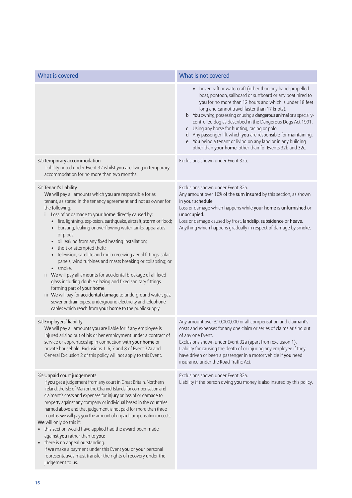| What is covered                                                                                                                                                                                                                                                                                                                                                                                                                                                                                                                                                                                                                                                                                                                                                                                                                                                                                                                                                                                  | What is not covered                                                                                                                                                                                                                                                                                                                                                                                                                                                                                                                                                                                                           |
|--------------------------------------------------------------------------------------------------------------------------------------------------------------------------------------------------------------------------------------------------------------------------------------------------------------------------------------------------------------------------------------------------------------------------------------------------------------------------------------------------------------------------------------------------------------------------------------------------------------------------------------------------------------------------------------------------------------------------------------------------------------------------------------------------------------------------------------------------------------------------------------------------------------------------------------------------------------------------------------------------|-------------------------------------------------------------------------------------------------------------------------------------------------------------------------------------------------------------------------------------------------------------------------------------------------------------------------------------------------------------------------------------------------------------------------------------------------------------------------------------------------------------------------------------------------------------------------------------------------------------------------------|
|                                                                                                                                                                                                                                                                                                                                                                                                                                                                                                                                                                                                                                                                                                                                                                                                                                                                                                                                                                                                  | • hovercraft or watercraft (other than any hand-propelled<br>boat, pontoon, sailboard or surfboard or any boat hired to<br>you for no more than 12 hours and which is under 18 feet<br>long and cannot travel faster than 17 knots).<br>b You owning, possessing or using a dangerous animal or a specially-<br>controlled dog as described in the Dangerous Dogs Act 1991.<br>c Using any horse for hunting, racing or polo.<br>d Any passenger lift which you are responsible for maintaining.<br>e You being a tenant or living on any land or in any building<br>other than your home, other than for Events 32b and 32c. |
| 32b Temporary accommodation<br>Liability noted under Event 32 whilst you are living in temporary<br>accommodation for no more than two months.                                                                                                                                                                                                                                                                                                                                                                                                                                                                                                                                                                                                                                                                                                                                                                                                                                                   | Exclusions shown under Event 32a.                                                                                                                                                                                                                                                                                                                                                                                                                                                                                                                                                                                             |
| 32c Tenant's liability<br>We will pay all amounts which you are responsible for as<br>tenant, as stated in the tenancy agreement and not as owner for<br>the following.<br>Loss of or damage to your home directly caused by:<br>fire, lightning, explosion, earthquake, aircraft, storm or flood;<br>$\bullet$<br>bursting, leaking or overflowing water tanks, apparatus<br>$\bullet$<br>or pipes;<br>oil leaking from any fixed heating installation;<br>theft or attempted theft;<br>television, satellite and radio receiving aerial fittings, solar<br>panels, wind turbines and masts breaking or collapsing; or<br>· smoke.<br>ii We will pay all amounts for accidental breakage of all fixed<br>glass including double glazing and fixed sanitary fittings<br>forming part of your home.<br>iii We will pay for accidental damage to underground water, gas,<br>sewer or drain pipes, underground electricity and telephone<br>cables which reach from your home to the public supply. | Exclusions shown under Event 32a.<br>Any amount over 10% of the sum insured by this section, as shown<br>in your schedule.<br>Loss or damage which happens while your home is unfurnished or<br>unoccupied.<br>Loss or damage caused by frost, landslip, subsidence or heave.<br>Anything which happens gradually in respect of damage by smoke.                                                                                                                                                                                                                                                                              |
| 32d Employers' liability<br>We will pay all amounts you are liable for if any employee is<br>injured arising out of his or her employment under a contract of<br>service or apprenticeship in connection with your home or<br>private household. Exclusions 1, 6, 7 and 8 of Event 32a and<br>General Exclusion 2 of this policy will not apply to this Event.                                                                                                                                                                                                                                                                                                                                                                                                                                                                                                                                                                                                                                   | Any amount over £10,000,000 or all compensation and claimant's<br>costs and expenses for any one claim or series of claims arising out<br>of any one Event.<br>Exclusions shown under Event 32a (apart from exclusion 1).<br>Liability for causing the death of or injuring any employee if they<br>have driven or been a passenger in a motor vehicle if you need<br>insurance under the Road Traffic Act.                                                                                                                                                                                                                   |
| 32e Unpaid court judgements<br>If you get a judgement from any court in Great Britain, Northern<br>Ireland, the Isle of Man or the Channel Islands for compensation and<br>claimant's costs and expenses for injury or loss of or damage to<br>property against any company or individual based in the countries<br>named above and that judgement is not paid for more than three<br>months, we will pay you the amount of unpaid compensation or costs.<br>We will only do this if:<br>• this section would have applied had the award been made<br>against you rather than to you;<br>• there is no appeal outstanding.<br>If we make a payment under this Event you or your personal<br>representatives must transfer the rights of recovery under the<br>judgement to us.                                                                                                                                                                                                                   | Exclusions shown under Event 32a.<br>Liability if the person owing you money is also insured by this policy.                                                                                                                                                                                                                                                                                                                                                                                                                                                                                                                  |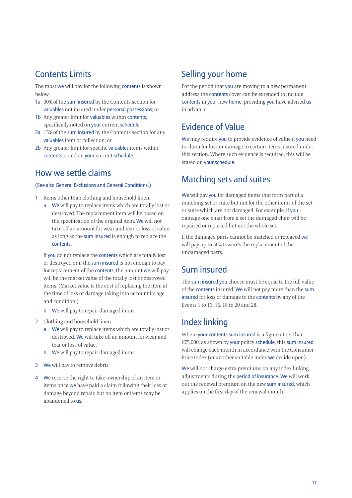## Contents Limits

The most we will pay for the following contents is shown below.

- 1a 30% of the sum insured by the Contents section for valuables not insured under personal possessions; or
- 1b Any greater limit for valuables within contents, specifically noted on your current schedule.
- 2a 15% of the sum insured by the Contents section for any valuables item or collection; or
- 2b Any greater limit for specific valuables items within contents noted on your current schedule.

## How we settle claims

#### (See also General Exclusions and General Conditions.)

- 1 Items other than clothing and household linen.
	- a We will pay to replace items which are totally lost or destroyed. The replacement item will be based on the specification of the original item. We will not take off an amount for wear and tear or loss of value as long as the sum insured is enough to replace the contents.

If you do not replace the contents which are totally lost or destroyed or if the sum insured is not enough to pay for replacement of the **contents**, the amount we will pay will be the market value of the totally lost or destroyed items. (Market value is the cost of replacing the item at the time of loss or damage taking into account its age and condition.)

- b We will pay to repair damaged items.
- 2 Clothing and household linen.
	- a We will pay to replace items which are totally lost or destroyed. We will take off an amount for wear and tear or loss of value.
	- b We will pay to repair damaged items.
- 3 We will pay to remove debris.
- 4 We reserve the right to take ownership of an item or items once we have paid a claim following their loss or damage beyond repair, but no item or items may be abandoned to us.

## Selling your home

For the period that **you** are moving to a new permanent address the contents cover can be extended to include contents in your new home, providing you have advised us in advance.

## Evidence of Value

We may require you to provide evidence of value if you need to claim for loss or damage to certain items insured under this section. Where such evidence is required, this will be stated on your schedule.

## Matching sets and suites

We will pay you for damaged items that form part of a matching set or suite but not for the other items of the set or suite which are not damaged. For example, if you damage one chair from a set the damaged chair will be repaired or replaced but not the whole set.

If the damaged parts cannot be matched or replaced we will pay up to 50% towards the replacement of the undamaged parts.

## Sum insured

The sum insured you choose must be equal to the full value of the contents insured. We will not pay more than the sum insured for loss or damage to the contents by any of the Events 1 to 13, 16, 18 to 20 and 28.

## Index linking

Where your contents sum insured is a figure other than  $£75,000$ , as shown by your policy schedule, this sum insured will change each month in accordance with the Consumer Price Index (or another suitable index we decide upon).

We will not charge extra premiums on any index linking adjustments during the period of insurance. We will work out the renewal premium on the new sum insured, which applies on the first day of the renewal month.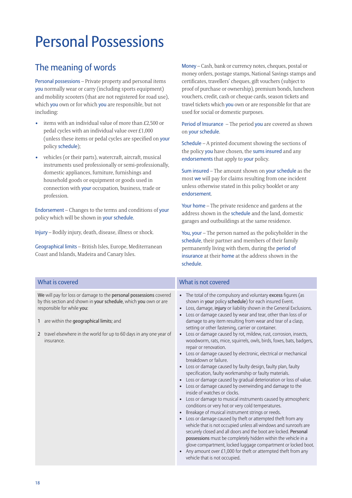# Personal Possessions

# The meaning of words

Personal possessions – Private property and personal items you normally wear or carry (including sports equipment) and mobility scooters (that are not registered for road use), which you own or for which you are responsible, but not including:

- $\bullet$  items with an individual value of more than  $E2.500$  or pedal cycles with an individual value over £1,000 (unless these items or pedal cycles are specified on your policy schedule);
- vehicles (or their parts), watercraft, aircraft, musical instruments used professionally or semi-professionally, domestic appliances, furniture, furnishings and household goods or equipment or goods used in connection with your occupation, business, trade or profession.

Endorsement – Changes to the terms and conditions of your policy which will be shown in your schedule.

Injury – Bodily injury, death, disease, illness or shock.

Geographical limits – British Isles, Europe, Mediterranean Coast and Islands, Madeira and Canary Isles.

We will pay for loss or damage to the personal possessions covered by this section and shown in your schedule, which you own or are responsible for while you:

- 1 are within the geographical limits; and
- 2 travel elsewhere in the world for up to 60 days in any one year of insurance.

Money – Cash, bank or currency notes, cheques, postal or money orders, postage stamps, National Savings stamps and certificates, travellers' cheques, gift vouchers (subject to proof of purchase or ownership), premium bonds, luncheon vouchers, credit, cash or cheque cards, season tickets and travel tickets which you own or are responsible for that are used for social or domestic purposes.

Period of Insurance – The period you are covered as shown on your schedule.

Schedule – A printed document showing the sections of the policy you have chosen, the sums insured and any endorsements that apply to your policy.

Sum insured – The amount shown on your schedule as the most we will pay for claims resulting from one incident unless otherwise stated in this policy booklet or any endorsement.

Your home – The private residence and gardens at the address shown in the schedule and the land, domestic garages and outbuildings at the same residence.

You, your – The person named as the policyholder in the schedule, their partner and members of their family permanently living with them, during the period of insurance at their home at the address shown in the schedule.

#### What is covered What is not covered

- The total of the compulsory and voluntary excess figures (as shown in your policy schedule) for each insured Event.
- Loss, damage, injury or liability shown in the General Exclusions.
- Loss or damage caused by wear and tear, other than loss of or damage to any item resulting from wear and tear of a clasp, setting or other fastening, carrier or container.
- Loss or damage caused by rot, mildew, rust, corrosion, insects, woodworm, rats, mice, squirrels, owls, birds, foxes, bats, badgers, repair or renovation.
- Loss or damage caused by electronic, electrical or mechanical breakdown or failure.
- Loss or damage caused by faulty design, faulty plan, faulty specification, faulty workmanship or faulty materials.
- Loss or damage caused by gradual deterioration or loss of value.
- Loss or damage caused by overwinding and damage to the inside of watches or clocks.
- Loss or damage to musical instruments caused by atmospheric conditions or very hot or very cold temperatures.
- Breakage of musical instrument strings or reeds.
- Loss or damage caused by theft or attempted theft from any vehicle that is not occupied unless all windows and sunroofs are securely closed and all doors and the boot are locked. Personal possessions must be completely hidden within the vehicle in a glove compartment, locked luggage compartment or locked boot.
- Any amount over  $£1,000$  for theft or attempted theft from any vehicle that is not occupied.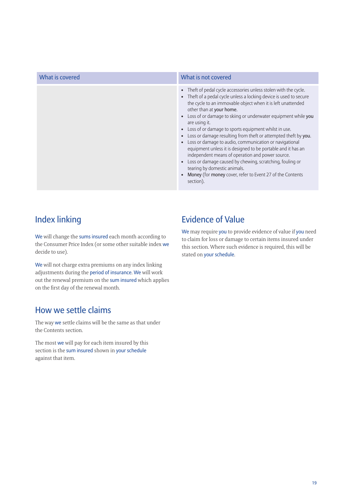| What is covered | What is not covered                                                                                                                                                                                                                                                                                                                                                                                                                                                                                                                                                                                                                                                                                                                                                                                         |
|-----------------|-------------------------------------------------------------------------------------------------------------------------------------------------------------------------------------------------------------------------------------------------------------------------------------------------------------------------------------------------------------------------------------------------------------------------------------------------------------------------------------------------------------------------------------------------------------------------------------------------------------------------------------------------------------------------------------------------------------------------------------------------------------------------------------------------------------|
|                 | • Theft of pedal cycle accessories unless stolen with the cycle.<br>• Theft of a pedal cycle unless a locking device is used to secure<br>the cycle to an immovable object when it is left unattended<br>other than at your home.<br>• Loss of or damage to skiing or underwater equipment while you<br>are using it.<br>• Loss of or damage to sports equipment whilst in use.<br>• Loss or damage resulting from theft or attempted theft by you.<br>• Loss or damage to audio, communication or navigational<br>equipment unless it is designed to be portable and it has an<br>independent means of operation and power source.<br>• Loss or damage caused by chewing, scratching, fouling or<br>tearing by domestic animals.<br>Money (for money cover, refer to Event 27 of the Contents<br>section). |

# Index linking

We will change the sums insured each month according to the Consumer Price Index (or some other suitable index we decide to use).

We will not charge extra premiums on any index linking adjustments during the period of insurance. We will work out the renewal premium on the sum insured which applies on the first day of the renewal month.

## How we settle claims

The way we settle claims will be the same as that under the Contents section.

The most we will pay for each item insured by this section is the sum insured shown in your schedule against that item.

## Evidence of Value

We may require you to provide evidence of value if you need to claim for loss or damage to certain items insured under this section. Where such evidence is required, this will be stated on your schedule.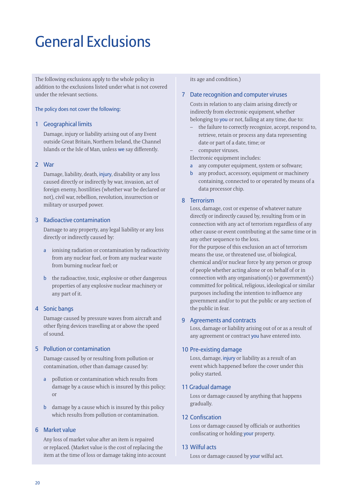# General Exclusions

The following exclusions apply to the whole policy in addition to the exclusions listed under what is not covered under the relevant sections.

#### The policy does not cover the following:

#### 1 Geographical limits

Damage, injury or liability arising out of any Event outside Great Britain, Northern Ireland, the Channel Islands or the Isle of Man, unless we say differently.

#### 2 War

Damage, liability, death, injury, disability or any loss caused directly or indirectly by war, invasion, act of foreign enemy, hostilities (whether war be declared or not), civil war, rebellion, revolution, insurrection or military or usurped power.

#### 3 Radioactive contamination

Damage to any property, any legal liability or any loss directly or indirectly caused by:

- a ionising radiation or contamination by radioactivity from any nuclear fuel, or from any nuclear waste from burning nuclear fuel; or
- b the radioactive, toxic, explosive or other dangerous properties of any explosive nuclear machinery or any part of it.

#### 4 Sonic bangs

Damage caused by pressure waves from aircraft and other flying devices travelling at or above the speed of sound.

#### 5 Pollution or contamination

Damage caused by or resulting from pollution or contamination, other than damage caused by:

- a pollution or contamination which results from damage by a cause which is insured by this policy; or
- b damage by a cause which is insured by this policy which results from pollution or contamination.

#### 6 Market value

Any loss of market value after an item is repaired or replaced. (Market value is the cost of replacing the item at the time of loss or damage taking into account its age and condition.)

#### 7 Date recognition and computer viruses

Costs in relation to any claim arising directly or indirectly from electronic equipment, whether belonging to you or not, failing at any time, due to:

- the failure to correctly recognize, accept, respond to, retrieve, retain or process any data representing date or part of a date, time; or
- computer viruses.

Electronic equipment includes:

- a any computer equipment, system or software;
- b any product, accessory, equipment or machinery containing, connected to or operated by means of a data processor chip.

#### 8 Terrorism

Loss, damage, cost or expense of whatever nature directly or indirectly caused by, resulting from or in connection with any act of terrorism regardless of any other cause or event contributing at the same time or in any other sequence to the loss.

For the purpose of this exclusion an act of terrorism means the use, or threatened use, of biological, chemical and/or nuclear force by any person or group of people whether acting alone or on behalf of or in connection with any organisation(s) or government(s) committed for political, religious, ideological or similar purposes including the intention to influence any government and/or to put the public or any section of the public in fear.

#### 9 Agreements and contracts

Loss, damage or liability arising out of or as a result of any agreement or contract you have entered into.

#### 10 Pre-existing damage

Loss, damage, injury or liability as a result of an event which happened before the cover under this policy started.

#### 11 Gradual damage

Loss or damage caused by anything that happens gradually.

#### 12 Confiscation

Loss or damage caused by officials or authorities confiscating or holding your property.

#### 13 Wilful acts

Loss or damage caused by your wilful act.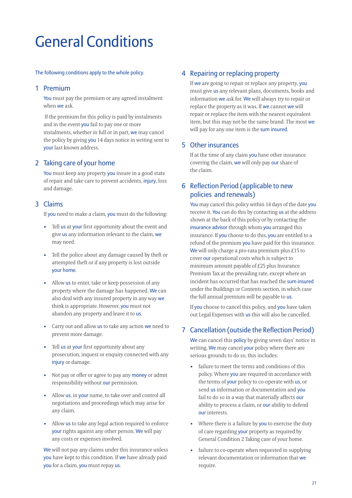# General Conditions

The following conditions apply to the whole policy.

#### 1 Premium

You must pay the premium or any agreed instalment when **we** ask.

If the premium for this policy is paid by instalments and in the event you fail to pay one or more instalments, whether in full or in part, we may cancel the policy by giving you 14 days notice in writing sent to your last known address.

### 2 Taking care of your home

You must keep any property you insure in a good state of repair and take care to prevent accidents, injury, loss and damage.

### 3 Claims

If you need to make a claim, you must do the following:

- Tell us at your first opportunity about the event and give us any information relevant to the claim, we may need.
- Tell the police about any damage caused by theft or attempted theft or if any property is lost outside your home.
- Allow us to enter, take or keep possession of any property where the damage has happened. We can also deal with any insured property in any way we think is appropriate. However, you must not abandon any property and leave it to us.
- Carry out and allow us to take any action we need to prevent more damage.
- Tell us at your first opportunity about any prosecution, inquest or enquiry connected with any injury or damage.
- Not pay or offer or agree to pay any **money** or admit responsibility without our permission.
- Allow us, in your name, to take over and control all negotiations and proceedings which may arise for any claim.
- Allow us to take any legal action required to enforce your rights against any other person. We will pay any costs or expenses involved.

We will not pay any claims under this insurance unless you have kept to this condition. If we have already paid you for a claim, you must repay us.

#### 4 Repairing or replacing property

If we are going to repair or replace any property, you must give us any relevant plans, documents, books and information we ask for. We will always try to repair or replace the property as it was. If we cannot we will repair or replace the item with the nearest equivalent item, but this may not be the same brand. The most we will pay for any one item is the sum insured.

### 5 Other insurances

If at the time of any claim you have other insurance covering the claim, we will only pay our share of the claim.

### 6 Reflection Period (applicable to new policies and renewals)

You may cancel this policy within 14 days of the date you receive it. You can do this by contacting us at the address shown at the back of this policy or by contacting the insurance advisor through whom you arranged this insurance. If you choose to do this, you are entitled to a refund of the premium you have paid for this insurance. We will only charge a pro-rata premium plus  $£15$  to cover our operational costs which is subject to minimum amount payable of £25 plus Insurance Premium Tax at the prevailing rate, except where an incident has occurred that has reached the sum insured under the Buildings or Contents section, in which case the full annual premium will be payable to us.

If you choose to cancel this policy, and you have taken out Legal Expenses with us this will also be cancelled.

### 7 Cancellation (outside the Reflection Period)

We can cancel this **policy** by giving seven days' notice in writing. We may cancel your policy where there are serious grounds to do so, this includes:

- failure to meet the terms and conditions of this policy. Where you are required in accordance with the terms of your policy to co-operate with us, or send *us* information or documentation and you fail to do so in a way that materially affects our ability to process a claim, or our ability to defend our interests.
- Where there is a failure by you to exercise the duty of care regarding your property as required by General Condition 2 Taking care of your home.
- failure to co-operate when requested in supplying relevant documentation or information that we require.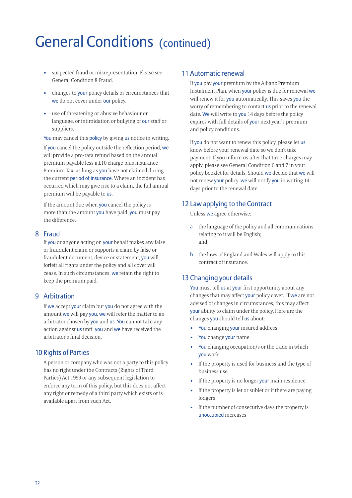# General Conditions (continued)

- suspected fraud or misrepresentation. Please see General Condition 8 Fraud.
- changes to your policy details or circumstances that we do not cover under our policy.
- use of threatening or abusive behaviour or language, or intimidation or bullying of our staff or suppliers.

You may cancel this policy by giving us notice in writing.

If you cancel the policy outside the reflection period, we will provide a pro-rata refund based on the annual premium payable less a £10 charge plus Insurance Premium Tax, as long as you have not claimed during the current period of insurance. Where an incident has occurred which may give rise to a claim, the full annual premium will be payable to us.

If the amount due when you cancel the policy is more than the amount you have paid, you must pay the difference.

### 8 Fraud

If you or anyone acting on your behalf makes any false or fraudulent claim or supports a claim by false or fraudulent document, device or statement, you will forfeit all rights under the policy and all cover will cease. In such circumstances, we retain the right to keep the premium paid.

### 9 Arbitration

If we accept your claim but you do not agree with the amount we will pay you, we will refer the matter to an arbitrator chosen by you and us. You cannot take any action against us until you and we have received the arbitrator's final decision.

### 10 Rights of Parties

A person or company who was not a party to this policy has no right under the Contracts (Rights of Third Parties) Act 1999 or any subsequent legislation to enforce any term of this policy, but this does not affect any right or remedy of a third party which exists or is available apart from such Act.

#### 11 Automatic renewal

If you pay your premium by the Allianz Premium Instalment Plan, when your policy is due for renewal we will renew it for you automatically. This saves you the worry of remembering to contact us prior to the renewal date. We will write to you 14 days before the policy expires with full details of your next year's premium and policy conditions.

If you do not want to renew this policy, please let us know before your renewal date so we don't take payment. If you inform us after that time charges may apply, please see General Condition 6 and 7 in your policy booklet for details. Should we decide that we will not renew your policy, we will notify you in writing 14 days prior to the renewal date.

### 12 Law applying to the Contract

Unless we agree otherwise:

- a the language of the policy and all communications relating to it will be English; and
- b the laws of England and Wales will apply to this contract of insurance.

### 13 Changing your details

You must tell us at your first opportunity about any changes that may affect your policy cover. If we are not advised of changes in circumstances, this may affect your ability to claim under the policy. Here are the changes you should tell us about:

- You changing your insured address
- You change your name
- You changing occupation/s or the trade in which you work
- If the property is used for business and the type of business use
- If the property is no longer your main residence
- If the property is let or sublet or if there are paying lodgers
- If the number of consecutive days the property is unoccupied increases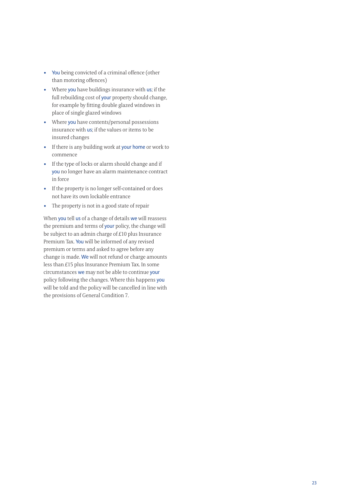- You being convicted of a criminal offence (other than motoring offences)
- Where you have buildings insurance with us; if the full rebuilding cost of your property should change, for example by fitting double glazed windows in place of single glazed windows
- Where you have contents/personal possessions insurance with us; if the values or items to be insured changes
- If there is any building work at your home or work to commence
- If the type of locks or alarm should change and if you no longer have an alarm maintenance contract in force
- If the property is no longer self-contained or does not have its own lockable entrance
- The property is not in a good state of repair

When you tell us of a change of details we will reassess the premium and terms of your policy, the change will be subject to an admin charge of  $£10$  plus Insurance Premium Tax. You will be informed of any revised premium or terms and asked to agree before any change is made. We will not refund or charge amounts less than £15 plus Insurance Premium Tax. In some circumstances we may not be able to continue your policy following the changes. Where this happens you will be told and the policy will be cancelled in line with the provisions of General Condition 7.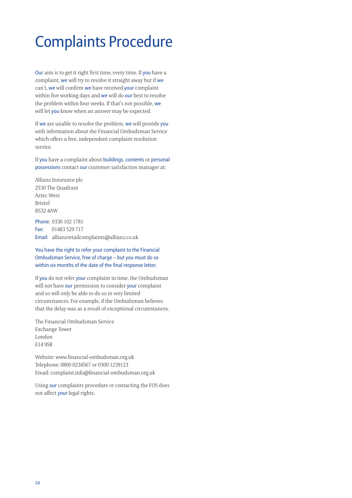# Complaints Procedure

Our aim is to get it right first time, every time. If you have a complaint, we will try to resolve it straight away but if we can't, we will confirm we have received your complaint within five working days and we will do our best to resolve the problem within four weeks. If that's not possible, we will let you know when an answer may be expected.

If we are unable to resolve the problem, we will provide you with information about the Financial Ombudsman Service which offers a free, independent complaint resolution service.

If you have a complaint about buildings, contents or personal possessions contact our customer satisfaction manager at:

Allianz Insurance plc 2530 The Quadrant Aztec West Bristol BS32 4AW

Phone: 0330 102 1781 Fax: 01483 529 717 Email: allianzretailcomplaints@allianz.co.uk

You have the right to refer your complaint to the Financial Ombudsman Service, free of charge – but you must do so within six months of the date of the final response letter.

If you do not refer your complaint in time, the Ombudsman will not have our permission to consider your complaint and so will only be able to do so in very limited circumstances. For example, if the Ombudsman believes that the delay was as a result of exceptional circumstances.

The Financial Ombudsman Service Exchange Tower London E14 9SR

Website: www.financial-ombudsman.org.uk Telephone: 0800 0234567 or 0300 1239123 Email: complaint.info@financial-ombudsman.org.uk

Using our complaints procedure or contacting the FOS does not affect your legal rights.